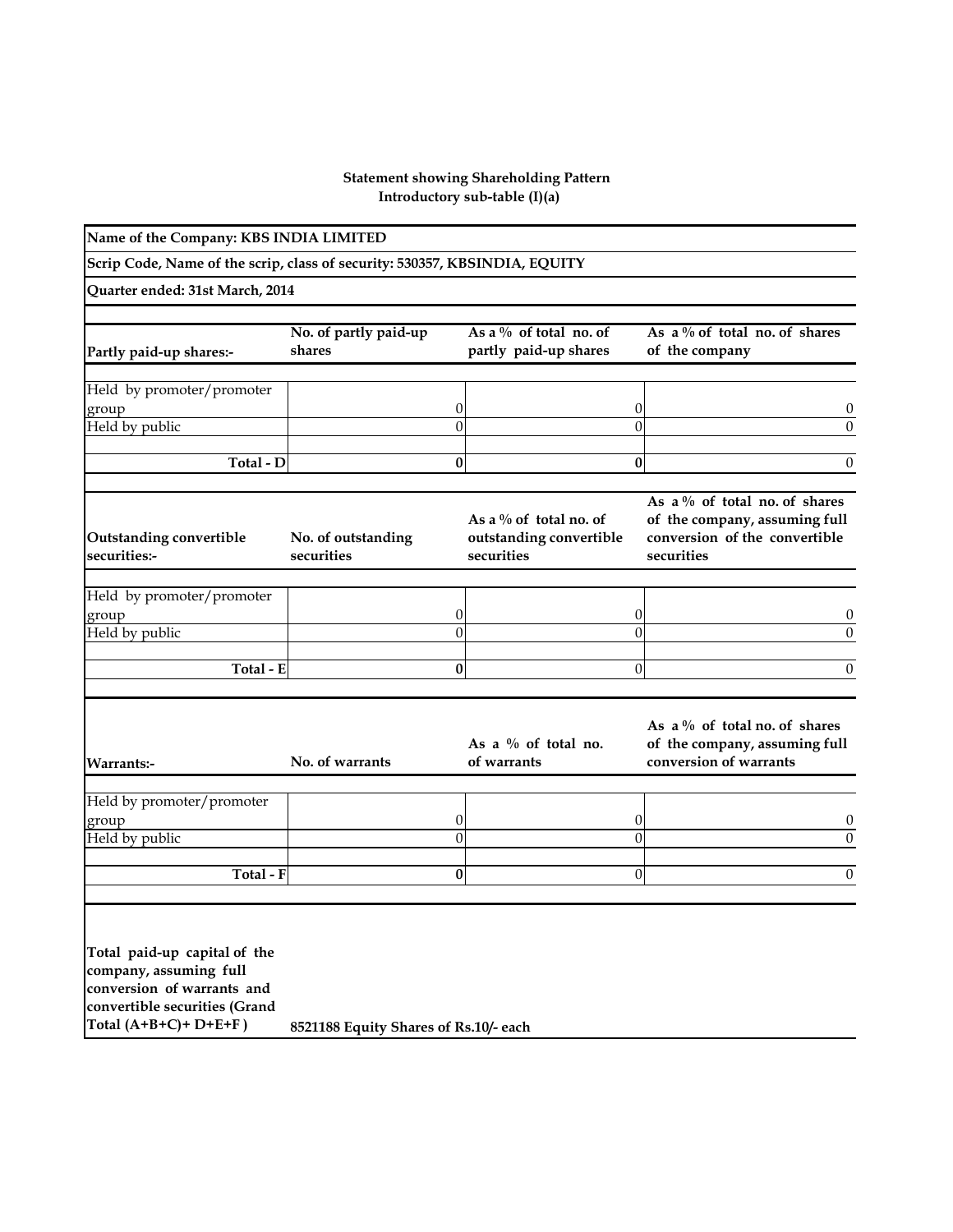## **Introductory sub-table (I)(a) Statement showing Shareholding Pattern**

| Name of the Company: KBS INDIA LIMITED                                                                                                           |                                       |                |                                                                    |                |                                                                                                                  |
|--------------------------------------------------------------------------------------------------------------------------------------------------|---------------------------------------|----------------|--------------------------------------------------------------------|----------------|------------------------------------------------------------------------------------------------------------------|
| Scrip Code, Name of the scrip, class of security: 530357, KBSINDIA, EQUITY                                                                       |                                       |                |                                                                    |                |                                                                                                                  |
| Quarter ended: 31st March, 2014                                                                                                                  |                                       |                |                                                                    |                |                                                                                                                  |
|                                                                                                                                                  | No. of partly paid-up                 |                | As a $\%$ of total no. of                                          |                | As a $\%$ of total no. of shares                                                                                 |
| Partly paid-up shares:-                                                                                                                          | shares                                |                | partly paid-up shares                                              |                | of the company                                                                                                   |
| Held by promoter/promoter                                                                                                                        |                                       |                |                                                                    |                |                                                                                                                  |
| group                                                                                                                                            |                                       | 0              |                                                                    | 0              | 0                                                                                                                |
| Held by public                                                                                                                                   |                                       | $\theta$       |                                                                    | $\theta$       | $\mathbf{0}$                                                                                                     |
| Total - D                                                                                                                                        |                                       | 0              |                                                                    | $\bf{0}$       | 0                                                                                                                |
| <b>Outstanding convertible</b><br>securities:-                                                                                                   | No. of outstanding<br>securities      |                | As a $\%$ of total no. of<br>outstanding convertible<br>securities |                | As a $\%$ of total no. of shares<br>of the company, assuming full<br>conversion of the convertible<br>securities |
| Held by promoter/promoter                                                                                                                        |                                       |                |                                                                    |                |                                                                                                                  |
| group                                                                                                                                            |                                       | 0              |                                                                    | $\theta$       | 0                                                                                                                |
| Held by public                                                                                                                                   |                                       | $\overline{0}$ |                                                                    | $\overline{0}$ | $\theta$                                                                                                         |
| Total - E                                                                                                                                        |                                       | 0              |                                                                    | 0              | 0                                                                                                                |
| Warrants:-                                                                                                                                       | No. of warrants                       |                | As a $\%$ of total no.<br>of warrants                              |                | As a $\%$ of total no. of shares<br>of the company, assuming full<br>conversion of warrants                      |
| Held by promoter/promoter                                                                                                                        |                                       |                |                                                                    |                |                                                                                                                  |
| group                                                                                                                                            |                                       | 0              |                                                                    | $\theta$       | $\cup$                                                                                                           |
| Held by public                                                                                                                                   |                                       | $\overline{0}$ |                                                                    | $\overline{0}$ | $\theta$                                                                                                         |
| Total - F                                                                                                                                        |                                       | 0              |                                                                    | 0              | 0                                                                                                                |
| Total paid-up capital of the<br>company, assuming full<br>conversion of warrants and<br>convertible securities (Grand<br>Total $(A+B+C)+D+E+F$ ) | 8521188 Equity Shares of Rs.10/- each |                |                                                                    |                |                                                                                                                  |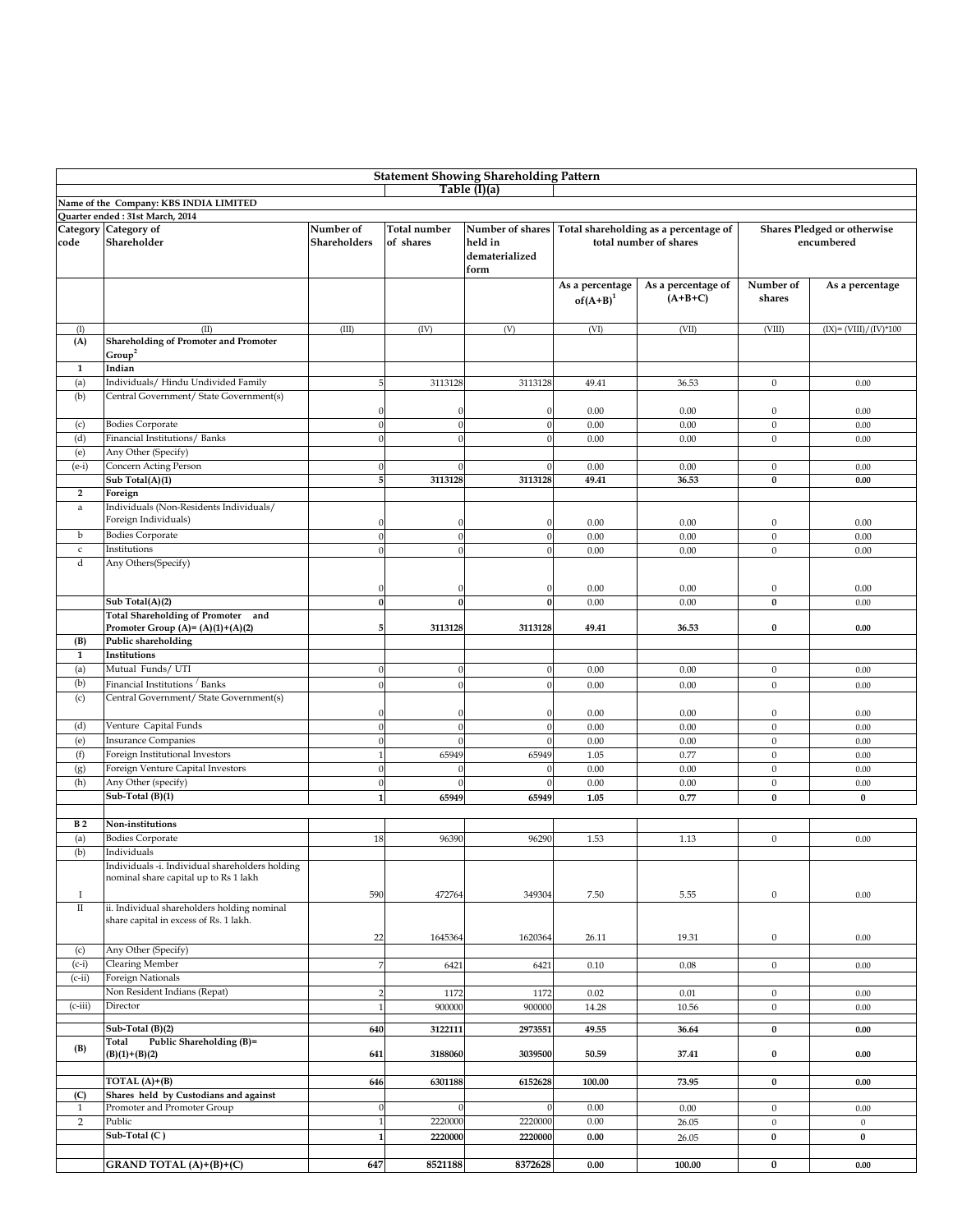| <b>Statement Showing Shareholding Pattern</b> |                                                                                                         |                           |                           |                                                       |                                |                                                                 |                                           |                          |  |  |  |
|-----------------------------------------------|---------------------------------------------------------------------------------------------------------|---------------------------|---------------------------|-------------------------------------------------------|--------------------------------|-----------------------------------------------------------------|-------------------------------------------|--------------------------|--|--|--|
|                                               |                                                                                                         |                           |                           | Table (I)(a)                                          |                                |                                                                 |                                           |                          |  |  |  |
|                                               | Name of the Company: KBS INDIA LIMITED                                                                  |                           |                           |                                                       |                                |                                                                 |                                           |                          |  |  |  |
|                                               | Quarter ended: 31st March, 2014                                                                         |                           |                           |                                                       |                                |                                                                 |                                           |                          |  |  |  |
| code                                          | Category Category of<br>Shareholder                                                                     | Number of<br>Shareholders | Total number<br>of shares | Number of shares<br>held in<br>dematerialized<br>form |                                | Total shareholding as a percentage of<br>total number of shares | Shares Pledged or otherwise<br>encumbered |                          |  |  |  |
|                                               |                                                                                                         |                           |                           |                                                       | As a percentage<br>$of(A+B)^1$ | As a percentage of<br>$(A+B+C)$                                 | Number of<br>shares                       | As a percentage          |  |  |  |
| (I)                                           | (II)                                                                                                    | (III)                     | (IV)                      | (V)                                                   | (VI)                           | (VII)                                                           | (VIII)                                    | $(IX) = (VIII)/(IV)*100$ |  |  |  |
| (A)                                           | <b>Shareholding of Promoter and Promoter</b><br>Group <sup>2</sup>                                      |                           |                           |                                                       |                                |                                                                 |                                           |                          |  |  |  |
| $\mathbf{1}$                                  | Indian                                                                                                  |                           |                           |                                                       |                                |                                                                 |                                           |                          |  |  |  |
| (a)                                           | Individuals/Hindu Undivided Family                                                                      | 5                         | 3113128                   | 3113128                                               | 49.41                          | 36.53                                                           | $\mathbf{0}$                              | 0.00                     |  |  |  |
| (b)                                           | Central Government/ State Government(s)                                                                 | $\mathbf{0}$              | 0                         | ſ                                                     | 0.00                           | 0.00                                                            | $\bf{0}$                                  | 0.00                     |  |  |  |
| (c)                                           | <b>Bodies Corporate</b>                                                                                 | $\theta$                  | $\boldsymbol{0}$          | $\sqrt{ }$                                            | 0.00                           | 0.00                                                            | $\mathbf{0}$                              | 0.00                     |  |  |  |
| (d)                                           | Financial Institutions/ Banks                                                                           | $\theta$                  | $\boldsymbol{0}$          | $\sqrt{ }$                                            | 0.00                           | 0.00                                                            | $\bf{0}$                                  | 0.00                     |  |  |  |
| (e)                                           | Any Other (Specify)                                                                                     |                           |                           |                                                       |                                |                                                                 |                                           |                          |  |  |  |
| $(e-i)$                                       | Concern Acting Person                                                                                   | $\Omega$                  | $\Omega$                  | $\sqrt{ }$                                            | 0.00                           | 0.00                                                            | $\mathbf{0}$                              | 0.00                     |  |  |  |
|                                               | Sub Total(A)(1)                                                                                         | 5                         | 3113128                   | 3113128                                               | 49.41                          | 36.53                                                           | $\bf{0}$                                  | 0.00                     |  |  |  |
| $\overline{2}$                                | Foreign                                                                                                 |                           |                           |                                                       |                                |                                                                 |                                           |                          |  |  |  |
| $\rm{a}$                                      | Individuals (Non-Residents Individuals/<br>Foreign Individuals)                                         | $\Omega$                  |                           |                                                       | 0.00                           | 0.00                                                            | $\bf{0}$                                  | 0.00                     |  |  |  |
| b                                             | <b>Bodies Corporate</b>                                                                                 | $\Omega$                  | $\boldsymbol{0}$          | $\sqrt{2}$                                            | 0.00                           | 0.00                                                            | $\mathbf{0}$                              | 0.00                     |  |  |  |
| $\mathsf{c}$                                  | Institutions                                                                                            | $\Omega$                  | $\theta$                  |                                                       | 0.00                           | 0.00                                                            | $\mathbf{0}$                              | 0.00                     |  |  |  |
| d                                             | Any Others(Specify)                                                                                     | $\Omega$                  | $\Omega$                  | $\sqrt{ }$                                            | 0.00                           | 0.00                                                            | $\boldsymbol{0}$                          | 0.00                     |  |  |  |
|                                               | Sub Total(A)(2)                                                                                         | $\bf{0}$                  | $\bf{0}$                  | $\mathbf{0}$                                          | 0.00                           | 0.00                                                            | $\bf{0}$                                  | 0.00                     |  |  |  |
|                                               | Total Shareholding of Promoter and                                                                      |                           |                           |                                                       |                                |                                                                 |                                           |                          |  |  |  |
|                                               | Promoter Group (A)= $(A)(1)+(A)(2)$                                                                     | 5                         | 3113128                   | 3113128                                               | 49.41                          | 36.53                                                           | 0                                         | 0.00                     |  |  |  |
| (B)                                           | Public shareholding                                                                                     |                           |                           |                                                       |                                |                                                                 |                                           |                          |  |  |  |
| $\mathbf{1}$                                  | Institutions                                                                                            |                           |                           |                                                       |                                |                                                                 |                                           |                          |  |  |  |
| (a)                                           | Mutual Funds/UTI                                                                                        | $\theta$                  | $\boldsymbol{0}$          | $\sqrt{ }$                                            | 0.00                           | 0.00                                                            | $\boldsymbol{0}$                          | 0.00                     |  |  |  |
| (b)                                           | Financial Institutions / Banks                                                                          | $\Omega$                  | $\boldsymbol{0}$          | $\sqrt{ }$                                            | 0.00                           | 0.00                                                            | $\mathbf{0}$                              | 0.00                     |  |  |  |
| (c)                                           | Central Government/ State Government(s)                                                                 | $\Omega$                  | $\theta$                  | $\sqrt{ }$                                            | 0.00                           | 0.00                                                            | $\mathbf{0}$                              | 0.00                     |  |  |  |
| (d)                                           | Venture Capital Funds                                                                                   | $\Omega$                  |                           | $\sqrt{ }$                                            | 0.00                           | 0.00                                                            | $\mathbf{0}$                              | 0.00                     |  |  |  |
| (e)                                           | <b>Insurance Companies</b>                                                                              | $\theta$                  | $\theta$                  |                                                       | 0.00                           | 0.00                                                            | $\mathbf{0}$                              | 0.00                     |  |  |  |
| (f)                                           | Foreign Institutional Investors                                                                         | $\overline{1}$            | 65949                     | 65949                                                 | 1.05                           | 0.77                                                            | $\mathbf{0}$                              | 0.00                     |  |  |  |
| (g)                                           | Foreign Venture Capital Investors                                                                       | $\Omega$                  |                           |                                                       | 0.00                           | 0.00                                                            | $\mathbf{0}$                              | 0.00                     |  |  |  |
| (h)                                           | Any Other (specify)                                                                                     | $\Omega$                  |                           |                                                       | 0.00                           | 0.00                                                            | $\mathbf{0}$                              | 0.00                     |  |  |  |
|                                               | Sub-Total (B)(1)                                                                                        | $\mathbf{1}$              | 65949                     | 65949                                                 | 1.05                           | 0.77                                                            | $\bf{0}$                                  | $\bf{0}$                 |  |  |  |
|                                               |                                                                                                         |                           |                           |                                                       |                                |                                                                 |                                           |                          |  |  |  |
| B <sub>2</sub>                                | Non-institutions                                                                                        |                           |                           |                                                       |                                |                                                                 |                                           |                          |  |  |  |
| (a)                                           | <b>Bodies Corporate</b>                                                                                 | 18                        | 96390                     | 96290                                                 | 1.53                           | 1.13                                                            | $\mathbf{0}$                              | 0.00                     |  |  |  |
| (b)                                           | Individuals<br>Individuals -i. Individual shareholders holding<br>nominal share capital up to Rs 1 lakh |                           |                           |                                                       |                                |                                                                 |                                           |                          |  |  |  |
| -1                                            |                                                                                                         | 590                       | 472764                    | 349304                                                | 7.50                           | 5.55                                                            | $\mathbf{0}$                              | 0.00                     |  |  |  |
| $\rm II$                                      | ii. Individual shareholders holding nominal<br>share capital in excess of Rs. 1 lakh.                   |                           |                           |                                                       |                                |                                                                 |                                           |                          |  |  |  |
|                                               |                                                                                                         | 22                        | 1645364                   | 1620364                                               | 26.11                          | 19.31                                                           | $\boldsymbol{0}$                          | 0.00                     |  |  |  |
| (c)                                           | Any Other (Specify)                                                                                     |                           |                           |                                                       |                                |                                                                 |                                           |                          |  |  |  |
| $(c-i)$                                       | <b>Clearing Member</b>                                                                                  | $\boldsymbol{7}$          | 6421                      | 6421                                                  | 0.10                           | 0.08                                                            | $\boldsymbol{0}$                          | 0.00                     |  |  |  |
| $(c-ii)$                                      | Foreign Nationals                                                                                       |                           |                           |                                                       |                                |                                                                 |                                           |                          |  |  |  |
|                                               | Non Resident Indians (Repat)                                                                            |                           | 1172                      | 1172                                                  | 0.02                           | 0.01                                                            | $\boldsymbol{0}$                          | 0.00                     |  |  |  |
| $(c-iii)$                                     | Director                                                                                                | $\overline{1}$            | 900000                    | 900000                                                | 14.28                          | 10.56                                                           | $\mathbf{0}$                              | 0.00                     |  |  |  |
|                                               |                                                                                                         |                           |                           |                                                       |                                |                                                                 |                                           |                          |  |  |  |
|                                               | Sub-Total (B)(2)<br>Public Shareholding (B)=<br>Total                                                   | 640                       | 3122111                   | 2973551                                               | 49.55                          | 36.64                                                           | $\bf{0}$                                  | $0.00\,$                 |  |  |  |
| (B)                                           | $(B)(1)+(B)(2)$                                                                                         | 641                       | 3188060                   | 3039500                                               | 50.59                          | 37.41                                                           | 0                                         | 0.00                     |  |  |  |
|                                               | TOTAL (A)+(B)                                                                                           | 646                       | 6301188                   | 6152628                                               | 100.00                         | 73.95                                                           | $\bf{0}$                                  | 0.00                     |  |  |  |
| (C)                                           | Shares held by Custodians and against                                                                   |                           |                           |                                                       |                                |                                                                 |                                           |                          |  |  |  |
| 1                                             | Promoter and Promoter Group                                                                             | $\mathbf{0}$              | $\Omega$                  |                                                       | 0.00                           | 0.00                                                            | $\boldsymbol{0}$                          | 0.00                     |  |  |  |
| $\overline{2}$                                | Public                                                                                                  | $\mathbf{1}$              | 2220000                   | 2220000                                               | $0.00\,$                       | 26.05                                                           | $\boldsymbol{0}$                          | $\boldsymbol{0}$         |  |  |  |
|                                               | Sub-Total (C)                                                                                           | $\mathbf{1}$              | 2220000                   | 2220000                                               | $0.00\,$                       | 26.05                                                           | $\bf{0}$                                  | $\bf{0}$                 |  |  |  |
|                                               |                                                                                                         |                           |                           |                                                       |                                |                                                                 |                                           |                          |  |  |  |
|                                               | GRAND TOTAL (A)+(B)+(C)                                                                                 | 647                       | 8521188                   | 8372628                                               | 0.00                           | 100.00                                                          | $\bf{0}$                                  | 0.00                     |  |  |  |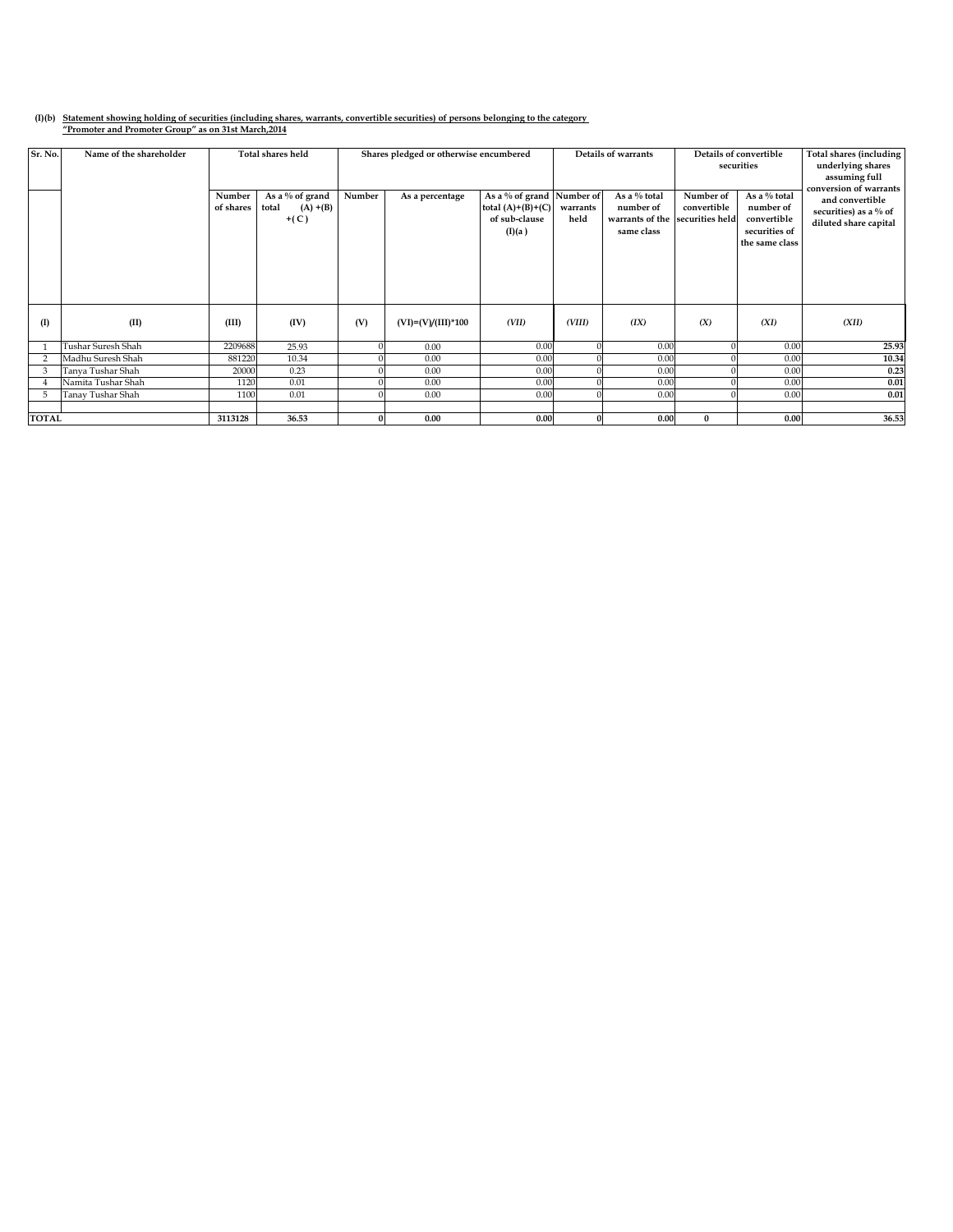## **(I)(b) Statement showing holding of securities (including shares, warrants, convertible securities) of persons belonging to the category "Promoter and Promoter Group" as on 31st March,2014**

| Sr. No.        | Name of the shareholder | Number<br>of shares | Total shares held<br>As a % of grand<br>total<br>$(A) + (B)$<br>$+(C)$ | Number | Shares pledged or otherwise encumbered<br>As a percentage | As a % of grand Number of<br>total $(A)+(B)+(C)$<br>of sub-clause<br>(I)(a) | Details of warrants<br>As a % total<br>number of<br>warrants<br>held<br>warrants of the<br>same class |      | Number of<br>convertible<br>securities held | Details of convertible<br>securities<br>As a % total<br>number of<br>convertible<br>securities of<br>the same class | Total shares (including<br>underlying shares<br>assuming full<br>conversion of warrants<br>and convertible<br>securities) as a % of<br>diluted share capital |
|----------------|-------------------------|---------------------|------------------------------------------------------------------------|--------|-----------------------------------------------------------|-----------------------------------------------------------------------------|-------------------------------------------------------------------------------------------------------|------|---------------------------------------------|---------------------------------------------------------------------------------------------------------------------|--------------------------------------------------------------------------------------------------------------------------------------------------------------|
|                |                         |                     |                                                                        |        |                                                           |                                                                             |                                                                                                       |      |                                             |                                                                                                                     |                                                                                                                                                              |
| $($ I          | (II)                    | (III)               | (IV)                                                                   | (V)    | $(VI)=(V)/(III)*100$                                      | (VII)                                                                       | (VIII)                                                                                                | (IX) | (X)                                         | (XI)                                                                                                                | (XII)                                                                                                                                                        |
|                | Tushar Suresh Shah      | 2209688             | 25.93                                                                  |        | 0.00                                                      | 0.00                                                                        |                                                                                                       | 0.00 |                                             | 0.00                                                                                                                | 25.93                                                                                                                                                        |
| $\overline{2}$ | Madhu Suresh Shah       | 881220              | 10.34                                                                  |        | 0.00                                                      | 0.00                                                                        |                                                                                                       | 0.00 |                                             | 0.00                                                                                                                | 10.34                                                                                                                                                        |
| 3              | Tanya Tushar Shah       | 20000               | 0.23                                                                   |        | 0.00                                                      | 0.00                                                                        |                                                                                                       | 0.00 |                                             | 0.00                                                                                                                | 0.23                                                                                                                                                         |
|                | Namita Tushar Shah      | 1120                | 0.01                                                                   |        | 0.00                                                      | 0.00                                                                        |                                                                                                       | 0.00 |                                             | 0.00                                                                                                                | $0.01\,$                                                                                                                                                     |
| 5              | Tanay Tushar Shah       | 1100                | 0.01                                                                   |        | 0.00                                                      | 0.00                                                                        |                                                                                                       | 0.00 | $\Omega$                                    | 0.00                                                                                                                | 0.01                                                                                                                                                         |
|                |                         |                     |                                                                        |        |                                                           |                                                                             |                                                                                                       |      |                                             |                                                                                                                     |                                                                                                                                                              |
| <b>TOTAL</b>   |                         | 3113128             | 36.53                                                                  |        | 0.00                                                      | 0.00                                                                        |                                                                                                       | 0.00 | $\mathbf{0}$                                | 0.00                                                                                                                | 36.53                                                                                                                                                        |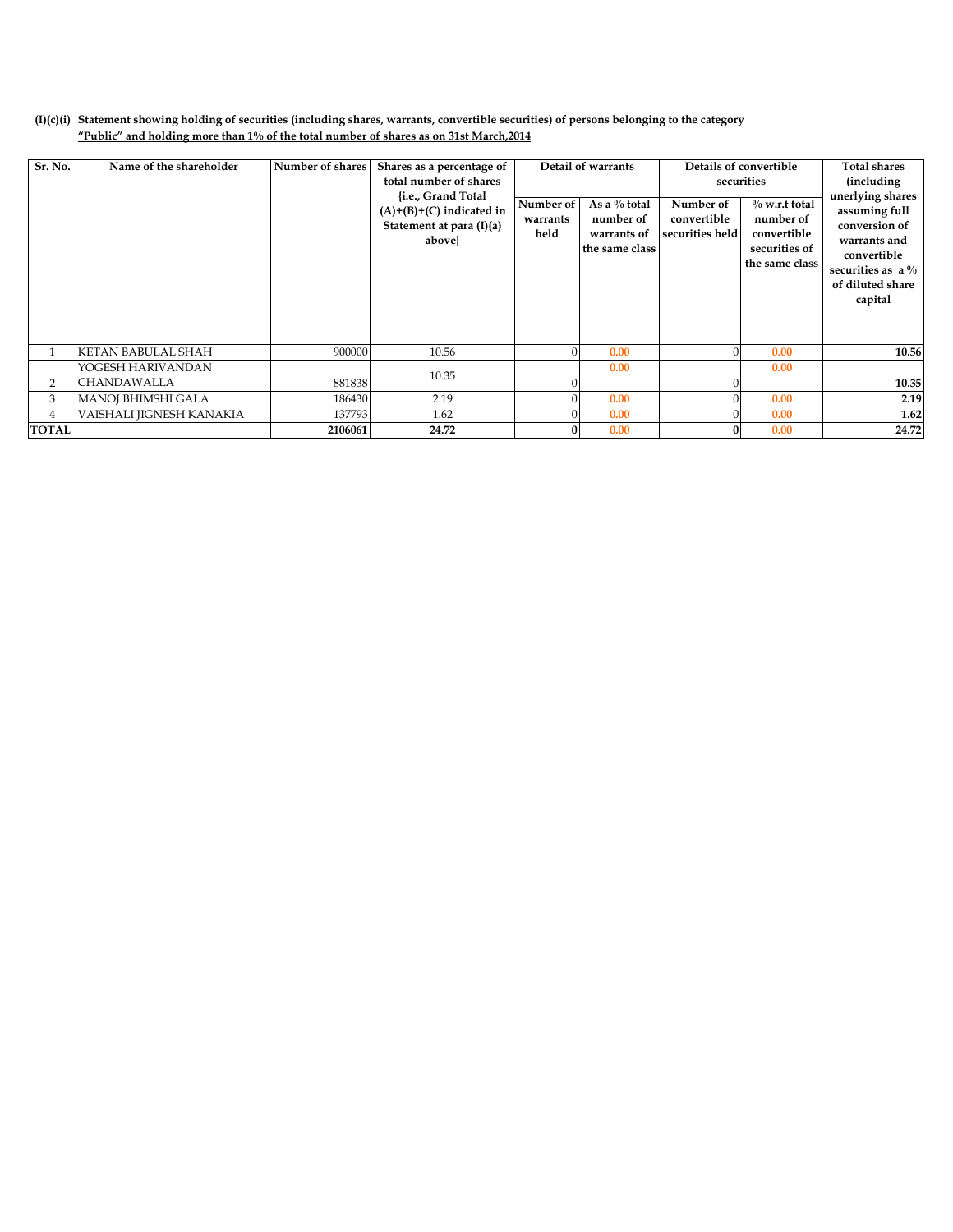## **(I)(c)(i) Statement showing holding of securities (including shares, warrants, convertible securities) of persons belonging to the category "Public" and holding more than 1% of the total number of shares as on 31st March,2014**

| Sr. No.      | Name of the shareholder   | Number of shares | Shares as a percentage of<br>total number of shares<br>{i.e., Grand Total<br>$(A)+(B)+(C)$ indicated in<br>Statement at para (I)(a)<br>above} | Detail of warrants<br>Number of<br>As a $%$ total<br>number of<br>warrants<br>held<br>warrants of<br>the same class |      | Number of<br>convertible<br>securities held | Details of convertible<br>securities<br>$\%$ w.r.t total<br>number of<br>convertible<br>securities of<br>the same class | <b>Total shares</b><br><i>(including)</i><br>unerlying shares<br>assuming full<br>conversion of<br>warrants and<br>convertible<br>securities as $a\%$<br>of diluted share<br>capital |
|--------------|---------------------------|------------------|-----------------------------------------------------------------------------------------------------------------------------------------------|---------------------------------------------------------------------------------------------------------------------|------|---------------------------------------------|-------------------------------------------------------------------------------------------------------------------------|--------------------------------------------------------------------------------------------------------------------------------------------------------------------------------------|
|              | <b>KETAN BABULAL SHAH</b> | 900000           | 10.56                                                                                                                                         |                                                                                                                     | 0.00 |                                             | 0.00                                                                                                                    | 10.56                                                                                                                                                                                |
|              | YOGESH HARIVANDAN         |                  |                                                                                                                                               |                                                                                                                     | 0.00 |                                             | 0.00                                                                                                                    |                                                                                                                                                                                      |
| 2            | CHANDAWALLA               | 881838           | 10.35                                                                                                                                         |                                                                                                                     |      |                                             |                                                                                                                         | 10.35                                                                                                                                                                                |
| 3            | <b>MANOJ BHIMSHI GALA</b> | 186430           | 2.19                                                                                                                                          |                                                                                                                     | 0.00 |                                             | 0.00                                                                                                                    | 2.19                                                                                                                                                                                 |
| 4            | VAISHALI JIGNESH KANAKIA  | 137793           | 1.62                                                                                                                                          |                                                                                                                     | 0.00 |                                             | 0.00                                                                                                                    | 1.62                                                                                                                                                                                 |
| <b>TOTAL</b> |                           | 2106061          | 24.72                                                                                                                                         | $\Omega$                                                                                                            | 0.00 |                                             | 0.00                                                                                                                    |                                                                                                                                                                                      |